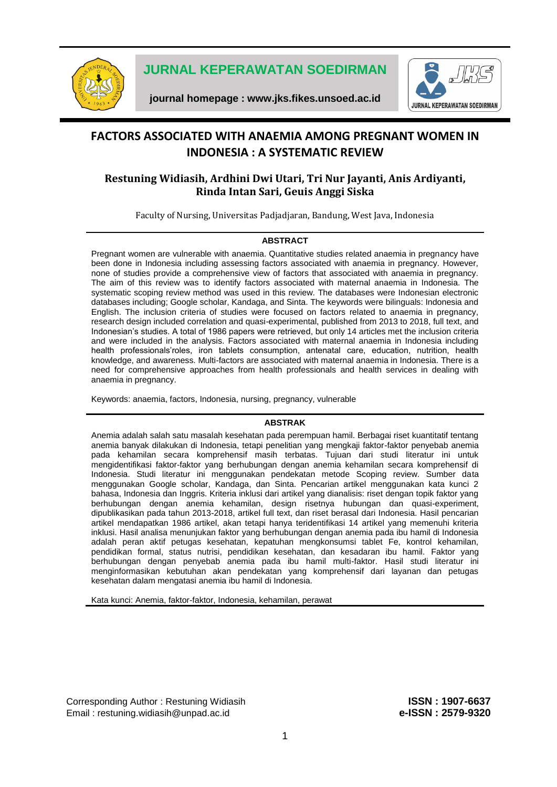

**JURNAL KEPERAWATAN SOEDIRMAN**

**journal homepage : [www.jks.fikes.unsoed.ac.id](http://www.jks.fikes.unsoed.ac.id/)**



# **FACTORS ASSOCIATED WITH ANAEMIA AMONG PREGNANT WOMEN IN INDONESIA : A SYSTEMATIC REVIEW**

## **Restuning Widiasih, Ardhini Dwi Utari, Tri Nur Jayanti, Anis Ardiyanti, Rinda Intan Sari, Geuis Anggi Siska**

Faculty of Nursing, Universitas Padjadjaran, Bandung, West Java, Indonesia

#### **ABSTRACT**

Pregnant women are vulnerable with anaemia. Quantitative studies related anaemia in pregnancy have been done in Indonesia including assessing factors associated with anaemia in pregnancy. However, none of studies provide a comprehensive view of factors that associated with anaemia in pregnancy. The aim of this review was to identify factors associated with maternal anaemia in Indonesia. The systematic scoping review method was used in this review. The databases were Indonesian electronic databases including; Google scholar, Kandaga, and Sinta. The keywords were bilinguals: Indonesia and English. The inclusion criteria of studies were focused on factors related to anaemia in pregnancy, research design included correlation and quasi-experimental, published from 2013 to 2018, full text, and Indonesian's studies. A total of 1986 papers were retrieved, but only 14 articles met the inclusion criteria and were included in the analysis. Factors associated with maternal anaemia in Indonesia including health professionals'roles, iron tablets consumption, antenatal care, education, nutrition, health knowledge, and awareness. Multi-factors are associated with maternal anaemia in Indonesia. There is a need for comprehensive approaches from health professionals and health services in dealing with anaemia in pregnancy.

Keywords: anaemia, factors, Indonesia, nursing, pregnancy, vulnerable

#### **ABSTRAK**

Anemia adalah salah satu masalah kesehatan pada perempuan hamil. Berbagai riset kuantitatif tentang anemia banyak dilakukan di Indonesia, tetapi penelitian yang mengkaji faktor-faktor penyebab anemia pada kehamilan secara komprehensif masih terbatas. Tujuan dari studi literatur ini untuk mengidentifikasi faktor-faktor yang berhubungan dengan anemia kehamilan secara komprehensif di Indonesia. Studi literatur ini menggunakan pendekatan metode Scoping review. Sumber data menggunakan Google scholar, Kandaga, dan Sinta. Pencarian artikel menggunakan kata kunci 2 bahasa, Indonesia dan Inggris. Kriteria inklusi dari artikel yang dianalisis: riset dengan topik faktor yang berhubungan dengan anemia kehamilan, design risetnya hubungan dan quasi-experiment, dipublikasikan pada tahun 2013-2018, artikel full text, dan riset berasal dari Indonesia. Hasil pencarian artikel mendapatkan 1986 artikel, akan tetapi hanya teridentifikasi 14 artikel yang memenuhi kriteria inklusi. Hasil analisa menunjukan faktor yang berhubungan dengan anemia pada ibu hamil di Indonesia adalah peran aktif petugas kesehatan, kepatuhan mengkonsumsi tablet Fe, kontrol kehamilan, pendidikan formal, status nutrisi, pendidikan kesehatan, dan kesadaran ibu hamil. Faktor yang berhubungan dengan penyebab anemia pada ibu hamil multi-faktor. Hasil studi literatur ini menginformasikan kebutuhan akan pendekatan yang komprehensif dari layanan dan petugas kesehatan dalam mengatasi anemia ibu hamil di Indonesia.

Kata kunci: Anemia, faktor-faktor, Indonesia, kehamilan, perawat

Corresponding Author : Restuning Widiasih **ISSN : 1907-6637** Email : [restuning.widiasih@unpad.a](mailto:restuning.widiasih@unpad.)c.id **e-ISSN : 2579-9320**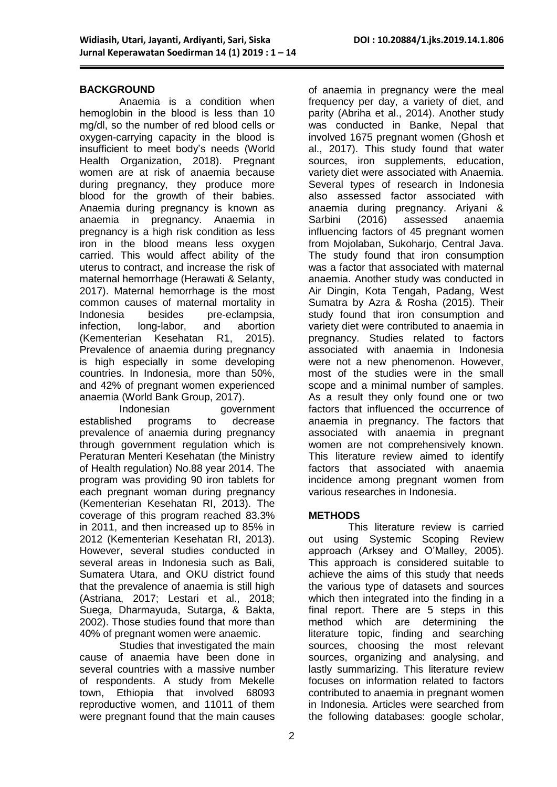#### **BACKGROUND**

Anaemia is a condition when hemoglobin in the blood is less than 10 mg/dl, so the number of red blood cells or oxygen-carrying capacity in the blood is insufficient to meet body's needs (World Health Organization, 2018). Pregnant women are at risk of anaemia because during pregnancy, they produce more blood for the growth of their babies. Anaemia during pregnancy is known as anaemia in pregnancy. Anaemia in pregnancy is a high risk condition as less iron in the blood means less oxygen carried. This would affect ability of the uterus to contract, and increase the risk of maternal hemorrhage (Herawati & Selanty, 2017). Maternal hemorrhage is the most common causes of maternal mortality in Indonesia besides pre-eclampsia. infection, long-labor, and abortion (Kementerian Kesehatan R1, 2015). Prevalence of anaemia during pregnancy is high especially in some developing countries. In Indonesia, more than 50%, and 42% of pregnant women experienced anaemia (World Bank Group, 2017).

Indonesian government established programs to decrease prevalence of anaemia during pregnancy through government regulation which is Peraturan Menteri Kesehatan (the Ministry of Health regulation) No.88 year 2014. The program was providing 90 iron tablets for each pregnant woman during pregnancy (Kementerian Kesehatan RI, 2013). The coverage of this program reached 83.3% in 2011, and then increased up to 85% in 2012 (Kementerian Kesehatan RI, 2013). However, several studies conducted in several areas in Indonesia such as Bali, Sumatera Utara, and OKU district found that the prevalence of anaemia is still high (Astriana, 2017; Lestari et al., 2018; Suega, Dharmayuda, Sutarga, & Bakta, 2002). Those studies found that more than 40% of pregnant women were anaemic.

Studies that investigated the main cause of anaemia have been done in several countries with a massive number of respondents. A study from Mekelle town, Ethiopia that involved 68093 reproductive women, and 11011 of them were pregnant found that the main causes of anaemia in pregnancy were the meal frequency per day, a variety of diet, and parity (Abriha et al., 2014). Another study was conducted in Banke, Nepal that involved 1675 pregnant women (Ghosh et al., 2017). This study found that water sources, iron supplements, education, variety diet were associated with Anaemia. Several types of research in Indonesia also assessed factor associated with anaemia during pregnancy. Ariyani & Sarbini (2016) assessed anaemia influencing factors of 45 pregnant women from Mojolaban, Sukoharjo, Central Java. The study found that iron consumption was a factor that associated with maternal anaemia. Another study was conducted in Air Dingin, Kota Tengah, Padang, West Sumatra by Azra & Rosha (2015). Their study found that iron consumption and variety diet were contributed to anaemia in pregnancy. Studies related to factors associated with anaemia in Indonesia were not a new phenomenon. However, most of the studies were in the small scope and a minimal number of samples. As a result they only found one or two factors that influenced the occurrence of anaemia in pregnancy. The factors that associated with anaemia in pregnant women are not comprehensively known. This literature review aimed to identify factors that associated with anaemia incidence among pregnant women from various researches in Indonesia.

#### **METHODS**

This literature review is carried out using Systemic Scoping Review approach (Arksey and O'Malley, 2005). This approach is considered suitable to achieve the aims of this study that needs the various type of datasets and sources which then integrated into the finding in a final report. There are 5 steps in this method which are determining the literature topic, finding and searching sources, choosing the most relevant sources, organizing and analysing, and lastly summarizing. This literature review focuses on information related to factors contributed to anaemia in pregnant women in Indonesia. Articles were searched from the following databases: google scholar,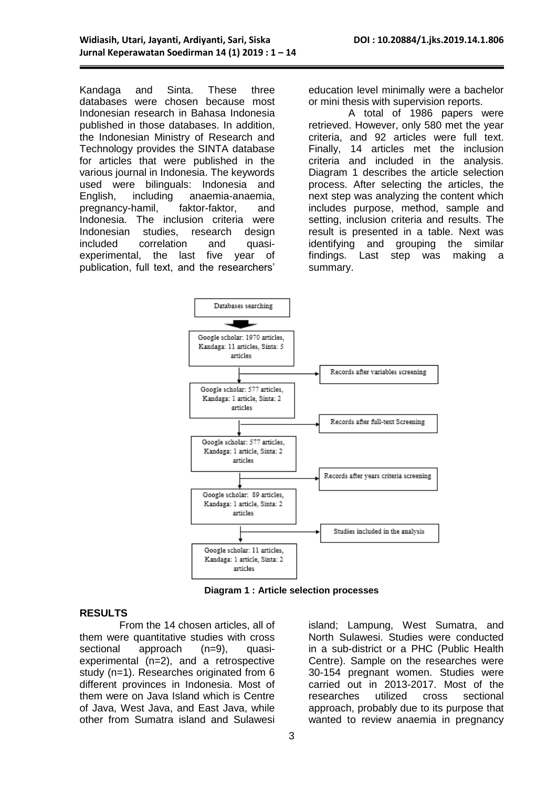Kandaga and Sinta. These three databases were chosen because most Indonesian research in Bahasa Indonesia published in those databases. In addition, the Indonesian Ministry of Research and Technology provides the SINTA database for articles that were published in the various journal in Indonesia. The keywords used were bilinguals: Indonesia and English, including anaemia-anaemia, pregnancy-hamil, faktor-faktor, and Indonesia. The inclusion criteria were Indonesian studies, research design included correlation and quasiexperimental, the last five year of publication, full text, and the researchers'

education level minimally were a bachelor or mini thesis with supervision reports.

A total of 1986 papers were retrieved. However, only 580 met the year criteria, and 92 articles were full text. Finally, 14 articles met the inclusion criteria and included in the analysis. Diagram 1 describes the article selection process. After selecting the articles, the next step was analyzing the content which includes purpose, method, sample and setting, inclusion criteria and results. The result is presented in a table. Next was identifying and grouping the similar findings. Last step was making a summary.



**Diagram 1 : Article selection processes**

#### **RESULTS**

From the 14 chosen articles, all of them were quantitative studies with cross sectional approach (n=9), quasiexperimental (n=2), and a retrospective study (n=1). Researches originated from 6 different provinces in Indonesia. Most of them were on Java Island which is Centre of Java, West Java, and East Java, while other from Sumatra island and Sulawesi

island; Lampung, West Sumatra, and North Sulawesi. Studies were conducted in a sub-district or a PHC (Public Health Centre). Sample on the researches were 30-154 pregnant women. Studies were carried out in 2013-2017. Most of the researches utilized cross sectional approach, probably due to its purpose that wanted to review anaemia in pregnancy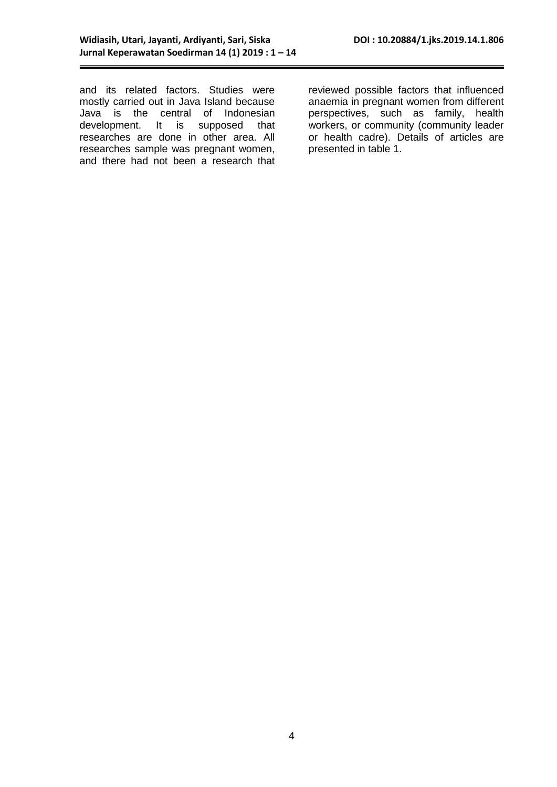and its related factors. Studies were mostly carried out in Java Island because Java is the central of Indonesian development. It is supposed that researches are done in other area. All researches sample was pregnant women, and there had not been a research that reviewed possible factors that influenced anaemia in pregnant women from different perspectives, such as family, health workers, or community (community leader or health cadre). Details of articles are presented in table 1.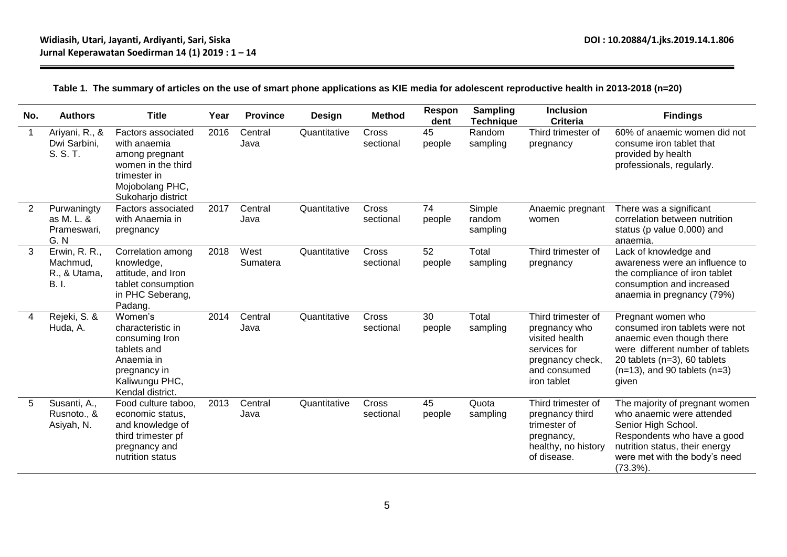### **Table 1. The summary of articles on the use of smart phone applications as KIE media for adolescent reproductive health in 2013-2018 (n=20)**

| No. | <b>Authors</b>                                           | <b>Title</b>                                                                                                                        | Year | <b>Province</b>  | <b>Design</b> | <b>Method</b>      | Respon<br>dent | <b>Sampling</b><br><b>Technique</b> | <b>Inclusion</b><br><b>Criteria</b>                                                                                      | <b>Findings</b>                                                                                                                                                                                      |
|-----|----------------------------------------------------------|-------------------------------------------------------------------------------------------------------------------------------------|------|------------------|---------------|--------------------|----------------|-------------------------------------|--------------------------------------------------------------------------------------------------------------------------|------------------------------------------------------------------------------------------------------------------------------------------------------------------------------------------------------|
| 1   | Ariyani, R., &<br>Dwi Sarbini,<br>S. S. T.               | Factors associated<br>with anaemia<br>among pregnant<br>women in the third<br>trimester in<br>Mojobolang PHC,<br>Sukoharjo district | 2016 | Central<br>Java  | Quantitative  | Cross<br>sectional | 45<br>people   | Random<br>sampling                  | Third trimester of<br>pregnancy                                                                                          | 60% of anaemic women did not<br>consume iron tablet that<br>provided by health<br>professionals, regularly.                                                                                          |
| 2   | Purwaningty<br>as M. L. &<br>Prameswari,<br>G.N          | Factors associated<br>with Anaemia in<br>pregnancy                                                                                  | 2017 | Central<br>Java  | Quantitative  | Cross<br>sectional | 74<br>people   | Simple<br>random<br>sampling        | Anaemic pregnant<br>women                                                                                                | There was a significant<br>correlation between nutrition<br>status (p value 0,000) and<br>anaemia.                                                                                                   |
| 3   | Erwin, R. R.,<br>Machmud,<br>R., & Utama,<br><b>B.I.</b> | Correlation among<br>knowledge,<br>attitude, and Iron<br>tablet consumption<br>in PHC Seberang,<br>Padang.                          | 2018 | West<br>Sumatera | Quantitative  | Cross<br>sectional | 52<br>people   | Total<br>sampling                   | Third trimester of<br>pregnancy                                                                                          | Lack of knowledge and<br>awareness were an influence to<br>the compliance of iron tablet<br>consumption and increased<br>anaemia in pregnancy (79%)                                                  |
| 4   | Rejeki, S. &<br>Huda, A.                                 | Women's<br>characteristic in<br>consuming Iron<br>tablets and<br>Anaemia in<br>pregnancy in<br>Kaliwungu PHC,<br>Kendal district.   | 2014 | Central<br>Java  | Quantitative  | Cross<br>sectional | 30<br>people   | Total<br>sampling                   | Third trimester of<br>pregnancy who<br>visited health<br>services for<br>pregnancy check,<br>and consumed<br>iron tablet | Pregnant women who<br>consumed iron tablets were not<br>anaemic even though there<br>were different number of tablets<br>20 tablets (n=3), 60 tablets<br>$(n=13)$ , and 90 tablets $(n=3)$<br>given  |
| 5   | Susanti, A.,<br>Rusnoto., &<br>Asiyah, N.                | Food culture taboo.<br>economic status,<br>and knowledge of<br>third trimester pf<br>pregnancy and<br>nutrition status              | 2013 | Central<br>Java  | Quantitative  | Cross<br>sectional | 45<br>people   | Quota<br>sampling                   | Third trimester of<br>pregnancy third<br>trimester of<br>pregnancy,<br>healthy, no history<br>of disease.                | The majority of pregnant women<br>who anaemic were attended<br>Senior High School.<br>Respondents who have a good<br>nutrition status, their energy<br>were met with the body's need<br>$(73.3\%)$ . |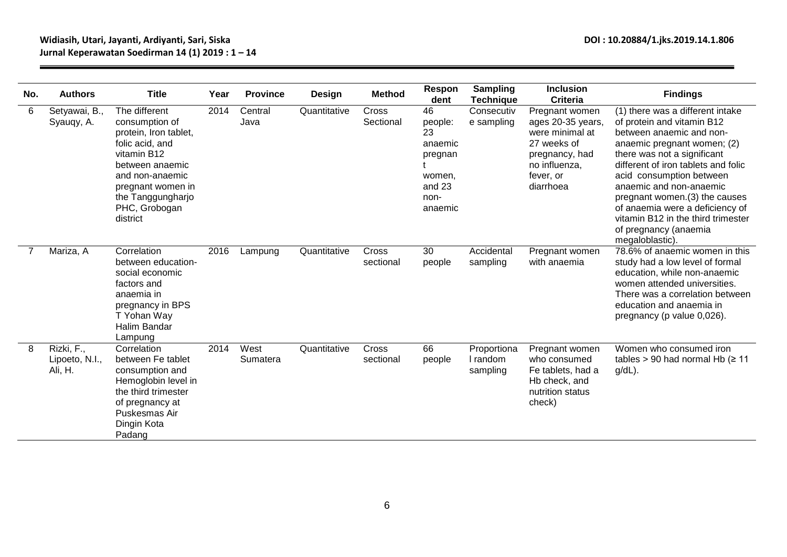| No. | <b>Authors</b>                          | <b>Title</b>                                                                                                                                                                                            | Year | <b>Province</b>  | Design       | <b>Method</b>      | Respon<br>dent                                                                   | Sampling<br><b>Technique</b>        | <b>Inclusion</b><br><b>Criteria</b>                                                                                                | <b>Findings</b>                                                                                                                                                                                                                                                                                                                                                                                              |
|-----|-----------------------------------------|---------------------------------------------------------------------------------------------------------------------------------------------------------------------------------------------------------|------|------------------|--------------|--------------------|----------------------------------------------------------------------------------|-------------------------------------|------------------------------------------------------------------------------------------------------------------------------------|--------------------------------------------------------------------------------------------------------------------------------------------------------------------------------------------------------------------------------------------------------------------------------------------------------------------------------------------------------------------------------------------------------------|
| 6   | Setyawai, B.,<br>Syauqy, A.             | The different<br>consumption of<br>protein, Iron tablet,<br>folic acid, and<br>vitamin B12<br>between anaemic<br>and non-anaemic<br>pregnant women in<br>the Tanggungharjo<br>PHC, Grobogan<br>district | 2014 | Central<br>Java  | Quantitative | Cross<br>Sectional | 46<br>people:<br>23<br>anaemic<br>pregnan<br>women,<br>and 23<br>non-<br>anaemic | Consecutiv<br>e sampling            | Pregnant women<br>ages 20-35 years,<br>were minimal at<br>27 weeks of<br>pregnancy, had<br>no influenza,<br>fever, or<br>diarrhoea | (1) there was a different intake<br>of protein and vitamin B12<br>between anaemic and non-<br>anaemic pregnant women; (2)<br>there was not a significant<br>different of iron tablets and folic<br>acid consumption between<br>anaemic and non-anaemic<br>pregnant women.(3) the causes<br>of anaemia were a deficiency of<br>vitamin B12 in the third trimester<br>of pregnancy (anaemia<br>megaloblastic). |
|     | Mariza, A                               | Correlation<br>between education-<br>social economic<br>factors and<br>anaemia in<br>pregnancy in BPS<br>T Yohan Way<br><b>Halim Bandar</b><br>Lampung                                                  | 2016 | Lampung          | Quantitative | Cross<br>sectional | 30<br>people                                                                     | Accidental<br>sampling              | Pregnant women<br>with anaemia                                                                                                     | 78.6% of anaemic women in this<br>study had a low level of formal<br>education, while non-anaemic<br>women attended universities.<br>There was a correlation between<br>education and anaemia in<br>pregnancy (p value 0,026).                                                                                                                                                                               |
| 8   | Rizki, F.,<br>Lipoeto, N.I.,<br>Ali, H. | Correlation<br>between Fe tablet<br>consumption and<br>Hemoglobin level in<br>the third trimester<br>of pregnancy at<br>Puskesmas Air<br>Dingin Kota<br>Padang                                          | 2014 | West<br>Sumatera | Quantitative | Cross<br>sectional | 66<br>people                                                                     | Proportiona<br>I random<br>sampling | Pregnant women<br>who consumed<br>Fe tablets, had a<br>Hb check, and<br>nutrition status<br>check)                                 | Women who consumed iron<br>tables > 90 had normal Hb ( $\geq 11$<br>$g/dL$ ).                                                                                                                                                                                                                                                                                                                                |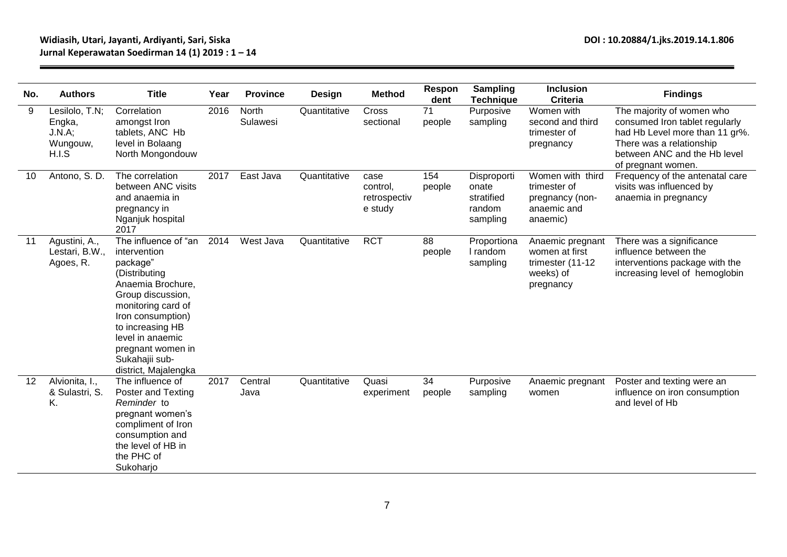### **Widiasih, Utari, Jayanti, Ardiyanti, Sari, Siska DOI : 10.20884/1.jks.2019.14.1.806 Jurnal Keperawatan Soedirman 14 (1) 2019 : 1 – 14**

| No. | <b>Authors</b>                                          | <b>Title</b>                                                                                                                                                                                                                                                  | Year | <b>Province</b>   | <b>Design</b> | <b>Method</b>                               | Respon<br>dent | Sampling<br><b>Technique</b>                             | <b>Inclusion</b><br><b>Criteria</b>                                              | <b>Findings</b>                                                                                                                                                                 |
|-----|---------------------------------------------------------|---------------------------------------------------------------------------------------------------------------------------------------------------------------------------------------------------------------------------------------------------------------|------|-------------------|---------------|---------------------------------------------|----------------|----------------------------------------------------------|----------------------------------------------------------------------------------|---------------------------------------------------------------------------------------------------------------------------------------------------------------------------------|
| 9   | Lesilolo, T.N;<br>Engka,<br>J.N.A;<br>Wungouw,<br>H.I.S | Correlation<br>amongst Iron<br>tablets, ANC Hb<br>level in Bolaang<br>North Mongondouw                                                                                                                                                                        | 2016 | North<br>Sulawesi | Quantitative  | Cross<br>sectional                          | 71<br>people   | Purposive<br>sampling                                    | Women with<br>second and third<br>trimester of<br>pregnancy                      | The majority of women who<br>consumed Iron tablet regularly<br>had Hb Level more than 11 gr%.<br>There was a relationship<br>between ANC and the Hb level<br>of pregnant women. |
| 10  | Antono, S. D.                                           | The correlation<br>between ANC visits<br>and anaemia in<br>pregnancy in<br>Nganjuk hospital<br>2017                                                                                                                                                           | 2017 | East Java         | Quantitative  | case<br>control,<br>retrospectiv<br>e study | 154<br>people  | Disproporti<br>onate<br>stratified<br>random<br>sampling | Women with third<br>trimester of<br>pregnancy (non-<br>anaemic and<br>anaemic)   | Frequency of the antenatal care<br>visits was influenced by<br>anaemia in pregnancy                                                                                             |
| 11  | Agustini, A.,<br>Lestari, B.W.,<br>Agoes, R.            | The influence of "an<br>intervention<br>package"<br>(Distributing<br>Anaemia Brochure,<br>Group discussion,<br>monitoring card of<br>Iron consumption)<br>to increasing HB<br>level in anaemic<br>pregnant women in<br>Sukahajii sub-<br>district, Majalengka | 2014 | West Java         | Quantitative  | <b>RCT</b>                                  | 88<br>people   | Proportiona<br>I random<br>sampling                      | Anaemic pregnant<br>women at first<br>trimester (11-12<br>weeks) of<br>pregnancy | There was a significance<br>influence between the<br>interventions package with the<br>increasing level of hemoglobin                                                           |
| 12  | Alvionita, I.,<br>& Sulastri, S.<br>Κ.                  | The influence of<br><b>Poster and Texting</b><br>Reminder to<br>pregnant women's<br>compliment of Iron<br>consumption and<br>the level of HB in<br>the PHC of<br>Sukoharjo                                                                                    | 2017 | Central<br>Java   | Quantitative  | Quasi<br>experiment                         | 34<br>people   | Purposive<br>sampling                                    | Anaemic pregnant<br>women                                                        | Poster and texting were an<br>influence on iron consumption<br>and level of Hb                                                                                                  |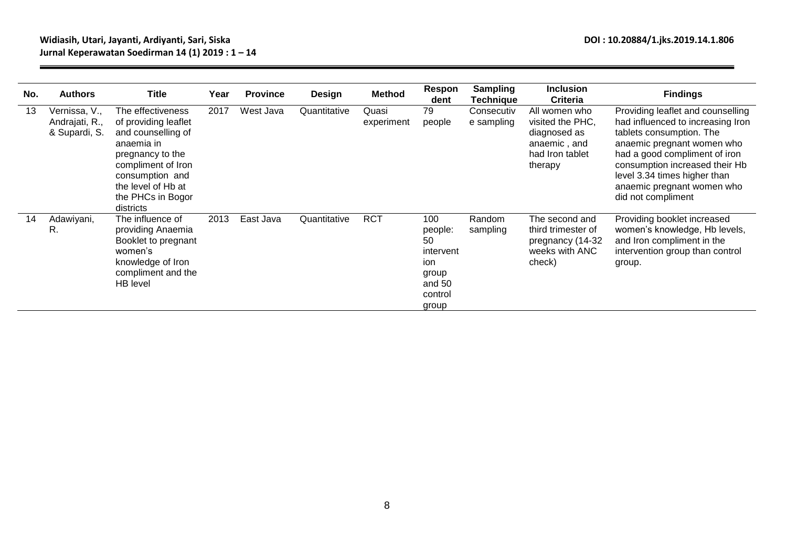### **Widiasih, Utari, Jayanti, Ardiyanti, Sari, Siska DOI : 10.20884/1.jks.2019.14.1.806 Jurnal Keperawatan Soedirman 14 (1) 2019 : 1 – 14**

| No. | <b>Authors</b>                                   | <b>Title</b>                                                                                                                                                                                       | Year | <b>Province</b> | <b>Design</b> | <b>Method</b>       | Respon<br>dent                                                                  | <b>Sampling</b><br>Technique | <b>Inclusion</b><br><b>Criteria</b>                                                             | <b>Findings</b>                                                                                                                                                                                                                                                                         |
|-----|--------------------------------------------------|----------------------------------------------------------------------------------------------------------------------------------------------------------------------------------------------------|------|-----------------|---------------|---------------------|---------------------------------------------------------------------------------|------------------------------|-------------------------------------------------------------------------------------------------|-----------------------------------------------------------------------------------------------------------------------------------------------------------------------------------------------------------------------------------------------------------------------------------------|
| 13  | Vernissa, V.,<br>Andrajati, R.,<br>& Supardi, S. | The effectiveness<br>of providing leaflet<br>and counselling of<br>anaemia in<br>pregnancy to the<br>compliment of Iron<br>consumption and<br>the level of Hb at<br>the PHCs in Bogor<br>districts | 2017 | West Java       | Quantitative  | Quasi<br>experiment | 79<br>people                                                                    | Consecutiv<br>e sampling     | All women who<br>visited the PHC,<br>diagnosed as<br>anaemic, and<br>had Iron tablet<br>therapy | Providing leaflet and counselling<br>had influenced to increasing Iron<br>tablets consumption. The<br>anaemic pregnant women who<br>had a good compliment of iron<br>consumption increased their Hb<br>level 3.34 times higher than<br>anaemic pregnant women who<br>did not compliment |
| 14  | Adawiyani,<br>R.                                 | The influence of<br>providing Anaemia<br>Booklet to pregnant<br>women's<br>knowledge of Iron<br>compliment and the<br>HB level                                                                     | 2013 | East Java       | Quantitative  | <b>RCT</b>          | 100<br>people:<br>50<br>intervent<br>ion<br>group<br>and 50<br>control<br>group | Random<br>sampling           | The second and<br>third trimester of<br>pregnancy (14-32<br>weeks with ANC<br>check)            | Providing booklet increased<br>women's knowledge, Hb levels,<br>and Iron compliment in the<br>intervention group than control<br>group.                                                                                                                                                 |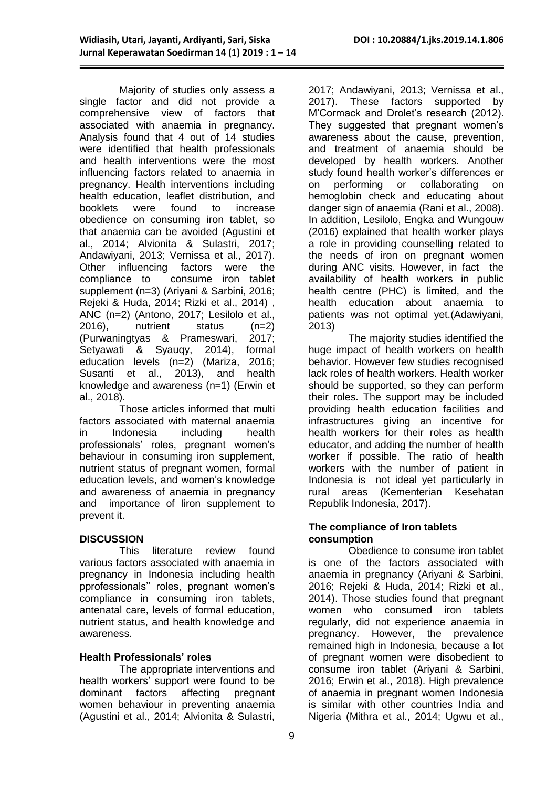Majority of studies only assess a single factor and did not provide a comprehensive view of factors that associated with anaemia in pregnancy. Analysis found that 4 out of 14 studies were identified that health professionals and health interventions were the most influencing factors related to anaemia in pregnancy. Health interventions including health education, leaflet distribution, and booklets were found to increase obedience on consuming iron tablet, so that anaemia can be avoided (Agustini et al., 2014; Alvionita & Sulastri, 2017; Andawiyani, 2013; Vernissa et al., 2017). Other influencing factors were the compliance to consume iron tablet supplement (n=3) (Ariyani & Sarbini, 2016; Rejeki & Huda, 2014; Rizki et al., 2014) , ANC (n=2) (Antono, 2017; Lesilolo et al., 2016), nutrient status (n=2) (Purwaningtyas & Prameswari, 2017; Setyawati & Syauqy, 2014), formal education levels (n=2) (Mariza, 2016; Susanti et al., 2013), and health knowledge and awareness (n=1) (Erwin et al., 2018).

Those articles informed that multi factors associated with maternal anaemia in Indonesia including health professionals' roles, pregnant women's behaviour in consuming iron supplement, nutrient status of pregnant women, formal education levels, and women's knowledge and awareness of anaemia in pregnancy and importance of Iiron supplement to prevent it.

#### **DISCUSSION**

This literature review found various factors associated with anaemia in pregnancy in Indonesia including health pprofessionals'' roles, pregnant women's compliance in consuming iron tablets, antenatal care, levels of formal education, nutrient status, and health knowledge and awareness.

#### **Health Professionals' roles**

The appropriate interventions and health workers' support were found to be dominant factors affecting pregnant women behaviour in preventing anaemia (Agustini et al., 2014; Alvionita & Sulastri,

2017; Andawiyani, 2013; Vernissa et al., 2017). These factors supported by M'Cormack and Drolet's research (2012). They suggested that pregnant women's awareness about the cause, prevention, and treatment of anaemia should be developed by health workers. Another study found health worker's differences er on performing or collaborating on hemoglobin check and educating about danger sign of anaemia (Rani et al., 2008). In addition, Lesilolo, Engka and Wungouw (2016) explained that health worker plays a role in providing counselling related to the needs of iron on pregnant women during ANC visits. However, in fact the availability of health workers in public health centre (PHC) is limited, and the health education about anaemia to patients was not optimal yet.(Adawiyani, 2013)

The majority studies identified the huge impact of health workers on health behavior. However few studies recognised lack roles of health workers. Health worker should be supported, so they can perform their roles. The support may be included providing health education facilities and infrastructures giving an incentive for health workers for their roles as health educator, and adding the number of health worker if possible. The ratio of health workers with the number of patient in Indonesia is not ideal yet particularly in rural areas (Kementerian Kesehatan Republik Indonesia, 2017).

#### **The compliance of Iron tablets consumption**

Obedience to consume iron tablet is one of the factors associated with anaemia in pregnancy (Ariyani & Sarbini, 2016; Rejeki & Huda, 2014; Rizki et al., 2014). Those studies found that pregnant women who consumed iron tablets regularly, did not experience anaemia in pregnancy. However, the prevalence remained high in Indonesia, because a lot of pregnant women were disobedient to consume iron tablet (Ariyani & Sarbini, 2016; Erwin et al., 2018). High prevalence of anaemia in pregnant women Indonesia is similar with other countries India and Nigeria (Mithra et al., 2014; Ugwu et al.,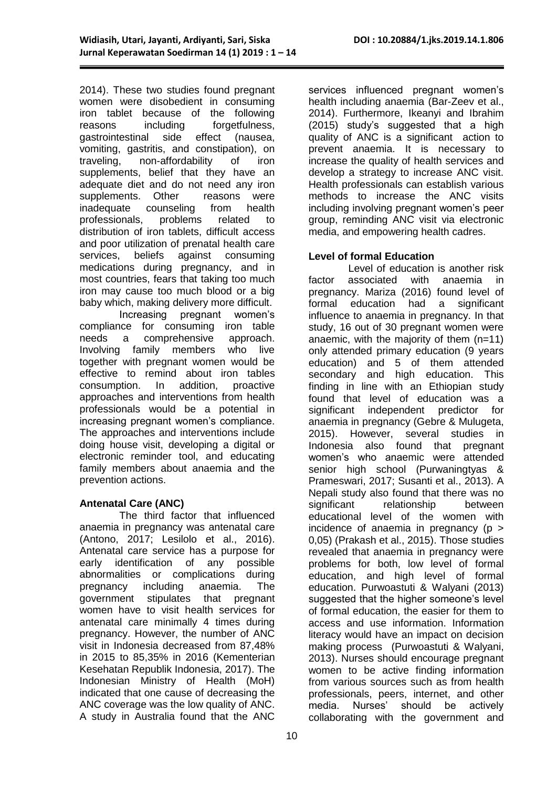2014). These two studies found pregnant women were disobedient in consuming iron tablet because of the following reasons including forgetfulness, gastrointestinal side effect (nausea, vomiting, gastritis, and constipation), on traveling, non-affordability of iron supplements, belief that they have an adequate diet and do not need any iron supplements. Other reasons were inadequate counseling from health professionals, problems related to distribution of iron tablets, difficult access and poor utilization of prenatal health care services, beliefs against consuming medications during pregnancy, and in most countries, fears that taking too much iron may cause too much blood or a big baby which, making delivery more difficult.

Increasing pregnant women's compliance for consuming iron table needs a comprehensive approach. Involving family members who live together with pregnant women would be effective to remind about iron tables consumption. In addition, proactive approaches and interventions from health professionals would be a potential in increasing pregnant women's compliance. The approaches and interventions include doing house visit, developing a digital or electronic reminder tool, and educating family members about anaemia and the prevention actions.

#### **Antenatal Care (ANC)**

The third factor that influenced anaemia in pregnancy was antenatal care (Antono, 2017; Lesilolo et al., 2016). Antenatal care service has a purpose for early identification of any possible abnormalities or complications during pregnancy including anaemia. The government stipulates that pregnant women have to visit health services for antenatal care minimally 4 times during pregnancy. However, the number of ANC visit in Indonesia decreased from 87,48% in 2015 to 85,35% in 2016 (Kementerian Kesehatan Republik Indonesia, 2017). The Indonesian Ministry of Health (MoH) indicated that one cause of decreasing the ANC coverage was the low quality of ANC. A study in Australia found that the ANC

services influenced pregnant women's health including anaemia (Bar-Zeev et al., 2014). Furthermore, Ikeanyi and Ibrahim (2015) study's suggested that a high quality of ANC is a significant action to prevent anaemia. It is necessary to increase the quality of health services and develop a strategy to increase ANC visit. Health professionals can establish various methods to increase the ANC visits including involving pregnant women's peer group, reminding ANC visit via electronic media, and empowering health cadres.

#### **Level of formal Education**

Level of education is another risk factor associated with anaemia in pregnancy. Mariza (2016) found level of formal education had a significant influence to anaemia in pregnancy. In that study, 16 out of 30 pregnant women were anaemic, with the majority of them (n=11) only attended primary education (9 years education) and 5 of them attended secondary and high education. This finding in line with an Ethiopian study found that level of education was a significant independent predictor for anaemia in pregnancy (Gebre & Mulugeta, 2015). However, several studies in Indonesia also found that pregnant women's who anaemic were attended senior high school (Purwaningtyas & Prameswari, 2017; Susanti et al., 2013). A Nepali study also found that there was no significant relationship between educational level of the women with incidence of anaemia in pregnancy  $(p >$ 0,05) (Prakash et al., 2015). Those studies revealed that anaemia in pregnancy were problems for both, low level of formal education, and high level of formal education. Purwoastuti & Walyani (2013) suggested that the higher someone's level of formal education, the easier for them to access and use information. Information literacy would have an impact on decision making process (Purwoastuti & Walyani, 2013). Nurses should encourage pregnant women to be active finding information from various sources such as from health professionals, peers, internet, and other media. Nurses' should be actively collaborating with the government and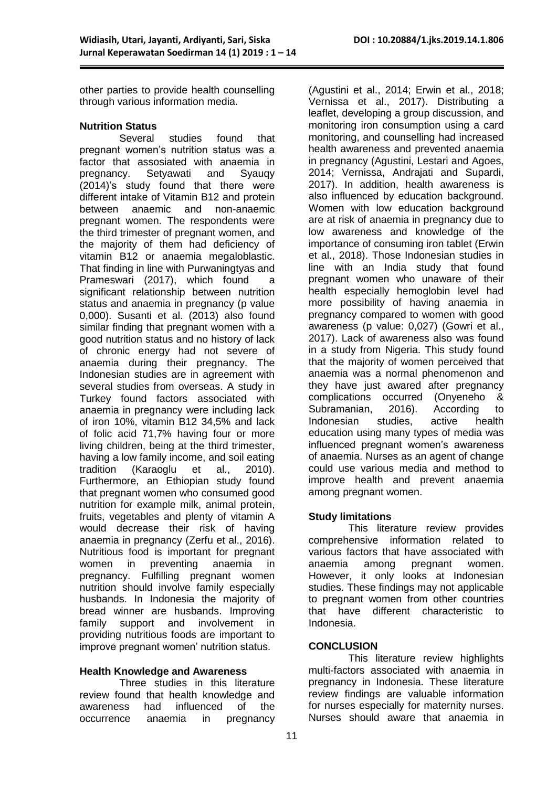other parties to provide health counselling through various information media.

# **Nutrition Status**

studies found that pregnant women's nutrition status was a factor that assosiated with anaemia in pregnancy. Setyawati and Syauqy (2014)'s study found that there were different intake of Vitamin B12 and protein between anaemic and non-anaemic pregnant women. The respondents were the third trimester of pregnant women, and the majority of them had deficiency of vitamin B12 or anaemia megaloblastic. That finding in line with Purwaningtyas and Prameswari (2017), which found a significant relationship between nutrition status and anaemia in pregnancy (p value 0,000). Susanti et al. (2013) also found similar finding that pregnant women with a good nutrition status and no history of lack of chronic energy had not severe of anaemia during their pregnancy. The Indonesian studies are in agreement with several studies from overseas. A study in Turkey found factors associated with anaemia in pregnancy were including lack of iron 10%, vitamin B12 34,5% and lack of folic acid 71,7% having four or more living children, being at the third trimester, having a low family income, and soil eating tradition (Karaoglu et al., 2010). Furthermore, an Ethiopian study found that pregnant women who consumed good nutrition for example milk, animal protein, fruits, vegetables and plenty of vitamin A would decrease their risk of having anaemia in pregnancy (Zerfu et al., 2016). Nutritious food is important for pregnant women in preventing anaemia in pregnancy. Fulfilling pregnant women nutrition should involve family especially husbands. In Indonesia the majority of bread winner are husbands. Improving family support and involvement in providing nutritious foods are important to improve pregnant women' nutrition status.

#### **Health Knowledge and Awareness**

Three studies in this literature review found that health knowledge and awareness had influenced of the occurrence anaemia in pregnancy

(Agustini et al., 2014; Erwin et al., 2018; Vernissa et al., 2017). Distributing a leaflet, developing a group discussion, and monitoring iron consumption using a card monitoring, and counselling had increased health awareness and prevented anaemia in pregnancy (Agustini, Lestari and Agoes, 2014; Vernissa, Andrajati and Supardi, 2017). In addition, health awareness is also influenced by education background. Women with low education background are at risk of anaemia in pregnancy due to low awareness and knowledge of the importance of consuming iron tablet (Erwin et al., 2018). Those Indonesian studies in line with an India study that found pregnant women who unaware of their health especially hemoglobin level had more possibility of having anaemia in pregnancy compared to women with good awareness (p value: 0,027) (Gowri et al., 2017). Lack of awareness also was found in a study from Nigeria. This study found that the majority of women perceived that anaemia was a normal phenomenon and they have just awared after pregnancy complications occurred (Onyeneho & Subramanian, 2016). According to Indonesian studies, active health education using many types of media was influenced pregnant women's awareness of anaemia. Nurses as an agent of change could use various media and method to improve health and prevent anaemia among pregnant women.

#### **Study limitations**

This literature review provides comprehensive information related to various factors that have associated with anaemia among pregnant women. However, it only looks at Indonesian studies. These findings may not applicable to pregnant women from other countries that have different characteristic to Indonesia.

#### **CONCLUSION**

This literature review highlights multi-factors associated with anaemia in pregnancy in Indonesia. These literature review findings are valuable information for nurses especially for maternity nurses. Nurses should aware that anaemia in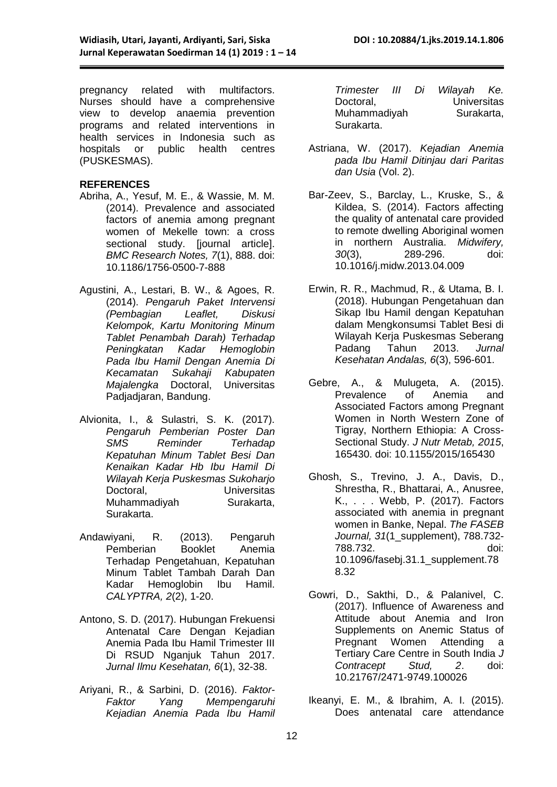pregnancy related with multifactors. Nurses should have a comprehensive view to develop anaemia prevention programs and related interventions in health services in Indonesia such as hospitals or public health centres (PUSKESMAS).

#### **REFERENCES**

- Abriha, A., Yesuf, M. E., & Wassie, M. M. (2014). Prevalence and associated factors of anemia among pregnant women of Mekelle town: a cross sectional study. [journal article]. *BMC Research Notes, 7*(1), 888. doi: 10.1186/1756-0500-7-888
- Agustini, A., Lestari, B. W., & Agoes, R. (2014). *Pengaruh Paket Intervensi (Pembagian Leaflet, Diskusi Kelompok, Kartu Monitoring Minum Tablet Penambah Darah) Terhadap Peningkatan Kadar Hemoglobin Pada Ibu Hamil Dengan Anemia Di Kecamatan Sukahaji Kabupaten Majalengka* Doctoral, Universitas Padjadjaran, Bandung.
- Alvionita, I., & Sulastri, S. K. (2017). *Pengaruh Pemberian Poster Dan SMS Reminder Terhadap Kepatuhan Minum Tablet Besi Dan Kenaikan Kadar Hb Ibu Hamil Di Wilayah Kerja Puskesmas Sukoharjo*  Doctoral, Universitas Muhammadiyah Surakarta, Surakarta.
- Andawiyani, R. (2013). Pengaruh Pemberian Booklet Anemia Terhadap Pengetahuan, Kepatuhan Minum Tablet Tambah Darah Dan Kadar Hemoglobin Ibu Hamil. *CALYPTRA, 2*(2), 1-20.
- Antono, S. D. (2017). Hubungan Frekuensi Antenatal Care Dengan Kejadian Anemia Pada Ibu Hamil Trimester III Di RSUD Nganjuk Tahun 2017. *Jurnal Ilmu Kesehatan, 6*(1), 32-38.
- Ariyani, R., & Sarbini, D. (2016). *Faktor-Faktor Yang Mempengaruhi Kejadian Anemia Pada Ibu Hamil*

| Trimester    | Ш | Di | Wilayah Ke. |  |  |
|--------------|---|----|-------------|--|--|
| Doctoral,    |   |    | Universitas |  |  |
| Muhammadiyah |   |    | Surakarta,  |  |  |
| Surakarta.   |   |    |             |  |  |

- Astriana, W. (2017). *Kejadian Anemia pada Ibu Hamil Ditinjau dari Paritas dan Usia* (Vol. 2).
- Bar-Zeev, S., Barclay, L., Kruske, S., & Kildea, S. (2014). Factors affecting the quality of antenatal care provided to remote dwelling Aboriginal women in northern Australia. *Midwifery, 30*(3), 289-296. doi: 10.1016/j.midw.2013.04.009
- Erwin, R. R., Machmud, R., & Utama, B. I. (2018). Hubungan Pengetahuan dan Sikap Ibu Hamil dengan Kepatuhan dalam Mengkonsumsi Tablet Besi di Wilayah Kerja Puskesmas Seberang Padang Tahun 2013. *Jurnal Kesehatan Andalas, 6*(3), 596-601.
- Gebre, A., & Mulugeta, A. (2015). Prevalence of Anemia and Associated Factors among Pregnant Women in North Western Zone of Tigray, Northern Ethiopia: A Cross-Sectional Study. *J Nutr Metab, 2015*, 165430. doi: 10.1155/2015/165430
- Ghosh, S., Trevino, J. A., Davis, D., Shrestha, R., Bhattarai, A., Anusree, K., . . . Webb, P. (2017). Factors associated with anemia in pregnant women in Banke, Nepal. *The FASEB Journal, 31*(1\_supplement), 788.732- 788.732. doi: 10.1096/fasebj.31.1\_supplement.78 8.32
- Gowri, D., Sakthi, D., & Palanivel, C. (2017). Influence of Awareness and Attitude about Anemia and Iron Supplements on Anemic Status of Pregnant Women Attending a Tertiary Care Centre in South India *J Contracept Stud, 2*. doi: 10.21767/2471-9749.100026
- Ikeanyi, E. M., & Ibrahim, A. I. (2015). Does antenatal care attendance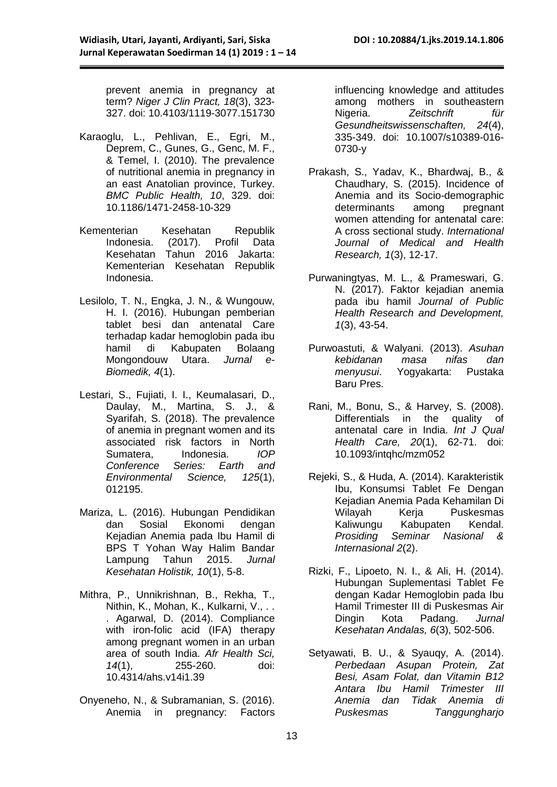prevent anemia in pregnancy at term? *Niger J Clin Pract, 18*(3), 323- 327. doi: 10.4103/1119-3077.151730

- Karaoglu, L., Pehlivan, E., Egri, M., Deprem, C., Gunes, G., Genc, M. F., & Temel, I. (2010). The prevalence of nutritional anemia in pregnancy in an east Anatolian province, Turkey. *BMC Public Health, 10*, 329. doi: 10.1186/1471-2458-10-329
- Kementerian Kesehatan Republik Indonesia. (2017). Profil Data Kesehatan Tahun 2016 Jakarta: Kementerian Kesehatan Republik Indonesia.
- Lesilolo, T. N., Engka, J. N., & Wungouw, H. I. (2016). Hubungan pemberian tablet besi dan antenatal Care terhadap kadar hemoglobin pada ibu hamil di Kabupaten Bolaang<br>Mongondouw Utara, Jurnal e-Mongondouw Utara. *Biomedik, 4*(1).
- Lestari, S., Fujiati, I. I., Keumalasari, D., Daulay, M., Martina, S. J., & Syarifah, S. (2018). The prevalence of anemia in pregnant women and its associated risk factors in North Sumatera, Indonesia. *IOP Conference Series: Earth and Environmental Science, 125*(1), 012195.
- Mariza, L. (2016). Hubungan Pendidikan dan Sosial Ekonomi dengan Kejadian Anemia pada Ibu Hamil di BPS T Yohan Way Halim Bandar Lampung Tahun 2015. *Jurnal Kesehatan Holistik, 10*(1), 5-8.
- Mithra, P., Unnikrishnan, B., Rekha, T., Nithin, K., Mohan, K., Kulkarni, V., . . . Agarwal, D. (2014). Compliance with iron-folic acid (IFA) therapy among pregnant women in an urban area of south India. *Afr Health Sci, 14*(1), 255-260. doi: 10.4314/ahs.v14i1.39
- Onyeneho, N., & Subramanian, S. (2016). Anemia in pregnancy: Factors

influencing knowledge and attitudes among mothers in southeastern<br>Nigeria. Zeitschrift für Nigeria. *Zeitschrift für Gesundheitswissenschaften, 24*(4), 335-349. doi: 10.1007/s10389-016- 0730-y

- Prakash, S., Yadav, K., Bhardwaj, B., & Chaudhary, S. (2015). Incidence of Anemia and its Socio-demographic determinants among pregnant women attending for antenatal care: A cross sectional study. *International Journal of Medical and Health Research, 1*(3), 12-17.
- Purwaningtyas, M. L., & Prameswari, G. N. (2017). Faktor kejadian anemia pada ibu hamil *Journal of Public Health Research and Development, 1*(3), 43-54.
- Purwoastuti, & Walyani. (2013). *Asuhan kebidanan masa nifas dan menyusui*. Yogyakarta: Pustaka Baru Pres.
- Rani, M., Bonu, S., & Harvey, S. (2008). Differentials in the quality of antenatal care in India. *Int J Qual Health Care, 20*(1), 62-71. doi: 10.1093/intqhc/mzm052
- Rejeki, S., & Huda, A. (2014). Karakteristik Ibu, Konsumsi Tablet Fe Dengan Kejadian Anemia Pada Kehamilan Di Wilayah Kerja Puskesmas Kaliwungu Kabupaten Kendal. *Prosiding Seminar Nasional & Internasional 2*(2).
- Rizki, F., Lipoeto, N. I., & Ali, H. (2014). Hubungan Suplementasi Tablet Fe dengan Kadar Hemoglobin pada Ibu Hamil Trimester III di Puskesmas Air Dingin Kota Padang. *Jurnal Kesehatan Andalas, 6*(3), 502-506.
- Setyawati, B. U., & Syauqy, A. (2014). *Perbedaan Asupan Protein, Zat Besi, Asam Folat, dan Vitamin B12 Antara Ibu Hamil Trimester III Anemia dan Tidak Anemia di Puskesmas Tanggungharjo*